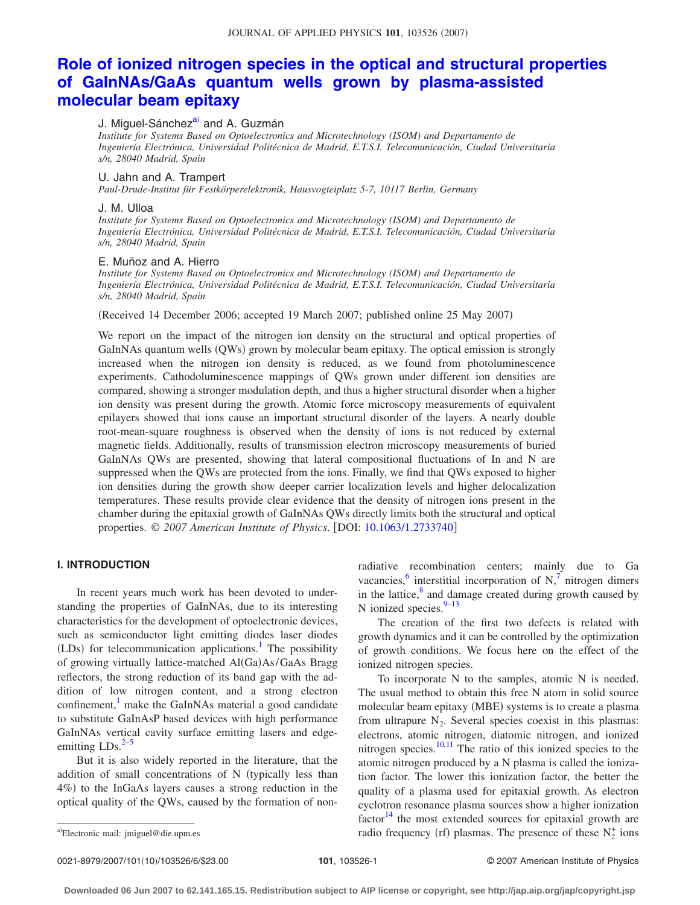# **[Role of ionized nitrogen species in the optical and structural properties](http://dx.doi.org/10.1063/1.2733740) [of GaInNAs/GaAs quantum wells grown by plasma-assisted](http://dx.doi.org/10.1063/1.2733740) [molecular beam epitaxy](http://dx.doi.org/10.1063/1.2733740)**

### J. Miguel-Sánchez<sup>a)</sup> and A. Guzmán

*Institute for Systems Based on Optoelectronics and Microtechnology (ISOM) and Departamento de Ingeniería Electrónica, Universidad Politécnica de Madrid, E.T.S.I. Telecomunicación, Ciudad Universitaria s/n, 28040 Madrid, Spain*

#### U. Jahn and A. Trampert

*Paul-Drude-Institut für Festkörperelektronik, Hausvogteiplatz 5-7, 10117 Berlin, Germany*

#### J. M. Ulloa

*Institute for Systems Based on Optoelectronics and Microtechnology (ISOM) and Departamento de Ingeniería Electrónica, Universidad Politécnica de Madrid, E.T.S.I. Telecomunicación, Ciudad Universitaria s/n, 28040 Madrid, Spain*

#### E. Muñoz and A. Hierro

*Institute for Systems Based on Optoelectronics and Microtechnology (ISOM) and Departamento de Ingeniería Electrónica, Universidad Politécnica de Madrid, E.T.S.I. Telecomunicación, Ciudad Universitaria s/n, 28040 Madrid, Spain*

(Received 14 December 2006; accepted 19 March 2007; published online 25 May 2007)

We report on the impact of the nitrogen ion density on the structural and optical properties of GaInNAs quantum wells (QWs) grown by molecular beam epitaxy. The optical emission is strongly increased when the nitrogen ion density is reduced, as we found from photoluminescence experiments. Cathodoluminescence mappings of QWs grown under different ion densities are compared, showing a stronger modulation depth, and thus a higher structural disorder when a higher ion density was present during the growth. Atomic force microscopy measurements of equivalent epilayers showed that ions cause an important structural disorder of the layers. A nearly double root-mean-square roughness is observed when the density of ions is not reduced by external magnetic fields. Additionally, results of transmission electron microscopy measurements of buried GaInNAs QWs are presented, showing that lateral compositional fluctuations of In and N are suppressed when the QWs are protected from the ions. Finally, we find that QWs exposed to higher ion densities during the growth show deeper carrier localization levels and higher delocalization temperatures. These results provide clear evidence that the density of nitrogen ions present in the chamber during the epitaxial growth of GaInNAs QWs directly limits both the structural and optical properties. © *2007 American Institute of Physics*. DOI: [10.1063/1.2733740](http://dx.doi.org/10.1063/1.2733740)

## **I. INTRODUCTION**

In recent years much work has been devoted to understanding the properties of GaInNAs, due to its interesting characteristics for the development of optoelectronic devices, such as semiconductor light emitting diodes laser diodes (LDs) for telecommunication applications.<sup>1</sup> The possibility of growing virtually lattice-matched Al(Ga)As/GaAs Bragg reflectors, the strong reduction of its band gap with the addition of low nitrogen content, and a strong electron confinement, $\frac{1}{1}$  make the GaInNAs material a good candidate to substitute GaInAsP based devices with high performance GaInNAs vertical cavity surface emitting lasers and edgeemitting  $LDs$ <sup>2[–5](#page-5-2)</sup>

But it is also widely reported in the literature, that the addition of small concentrations of N (typically less than 4%) to the InGaAs layers causes a strong reduction in the optical quality of the QWs, caused by the formation of nonradiative recombination centers; mainly due to Ga vacancies, $6$  interstitial incorporation of N, $7$  nitrogen dimers in the lattice, $\frac{8}{3}$  and damage created during growth caused by N ionized species. $9-13$ 

The creation of the first two defects is related with growth dynamics and it can be controlled by the optimization of growth conditions. We focus here on the effect of the ionized nitrogen species.

To incorporate N to the samples, atomic N is needed. The usual method to obtain this free N atom in solid source molecular beam epitaxy (MBE) systems is to create a plasma from ultrapure  $N_2$ . Several species coexist in this plasmas: electrons, atomic nitrogen, diatomic nitrogen, and ionized nitrogen species. $10,11$  $10,11$  The ratio of this ionized species to the atomic nitrogen produced by a N plasma is called the ionization factor. The lower this ionization factor, the better the quality of a plasma used for epitaxial growth. As electron cyclotron resonance plasma sources show a higher ionization  $factor<sup>14</sup>$  the most extended sources for epitaxial growth are a)Electronic mail: jmiguel@die.upm.es radio frequency (rf) plasmas. The presence of these  $N_2^+$  ions

0021-8979/2007/101(10)/103526/6/\$23.00

<span id="page-0-0"></span>Electronic mail: jmiguel@die.upm.es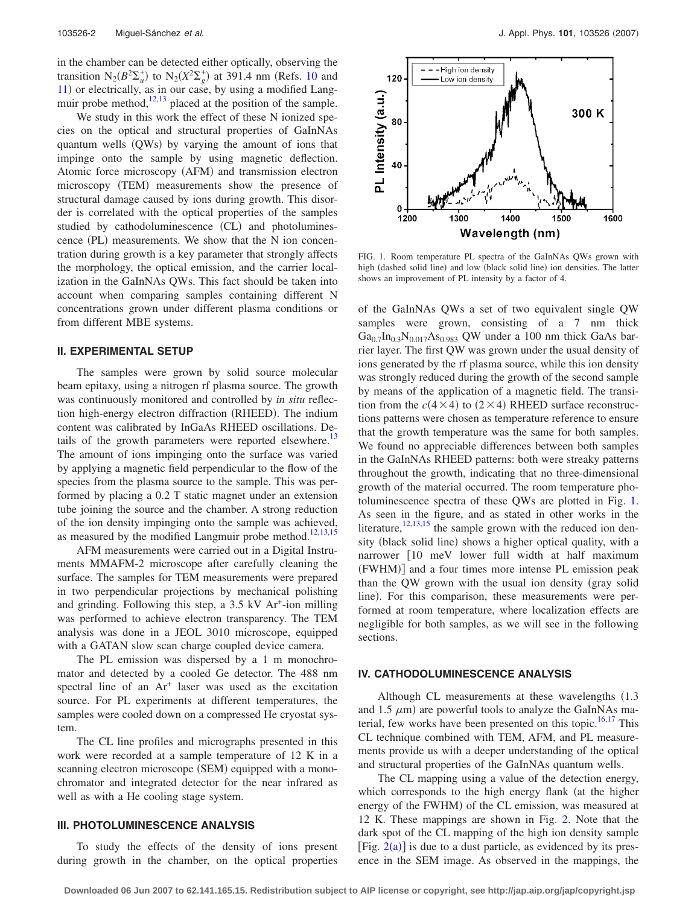in the chamber can be detected either optically, observing the transition  $N_2(B^2\Sigma_u^+)$  to  $N_2(X^2\Sigma_g^+)$  at 391.4 nm (Refs. [10](#page-5-7) and [11](#page-5-8)) or electrically, as in our case, by using a modified Langmuir probe method, $12,13$  $12,13$  placed at the position of the sample.

We study in this work the effect of these N ionized species on the optical and structural properties of GaInNAs quantum wells (QWs) by varying the amount of ions that impinge onto the sample by using magnetic deflection. Atomic force microscopy (AFM) and transmission electron microscopy (TEM) measurements show the presence of structural damage caused by ions during growth. This disorder is correlated with the optical properties of the samples studied by cathodoluminescence (CL) and photoluminescence (PL) measurements. We show that the N ion concentration during growth is a key parameter that strongly affects the morphology, the optical emission, and the carrier localization in the GaInNAs QWs. This fact should be taken into account when comparing samples containing different N concentrations grown under different plasma conditions or from different MBE systems.

#### **II. EXPERIMENTAL SETUP**

The samples were grown by solid source molecular beam epitaxy, using a nitrogen rf plasma source. The growth was continuously monitored and controlled by *in situ* reflection high-energy electron diffraction (RHEED). The indium content was calibrated by InGaAs RHEED oscillations. Details of the growth parameters were reported elsewhere.<sup>13</sup> The amount of ions impinging onto the surface was varied by applying a magnetic field perpendicular to the flow of the species from the plasma source to the sample. This was performed by placing a 0.2 T static magnet under an extension tube joining the source and the chamber. A strong reduction of the ion density impinging onto the sample was achieved, as measured by the modified Langmuir probe method. $12,13,15$  $12,13,15$  $12,13,15$ 

AFM measurements were carried out in a Digital Instruments MMAFM-2 microscope after carefully cleaning the surface. The samples for TEM measurements were prepared in two perpendicular projections by mechanical polishing and grinding. Following this step, a  $3.5 \text{ kV}$  Ar<sup>+</sup>-ion milling was performed to achieve electron transparency. The TEM analysis was done in a JEOL 3010 microscope, equipped with a GATAN slow scan charge coupled device camera.

The PL emission was dispersed by a 1 m monochromator and detected by a cooled Ge detector. The 488 nm spectral line of an Ar<sup>+</sup> laser was used as the excitation source. For PL experiments at different temperatures, the samples were cooled down on a compressed He cryostat system.

The CL line profiles and micrographs presented in this work were recorded at a sample temperature of 12 K in a scanning electron microscope (SEM) equipped with a monochromator and integrated detector for the near infrared as well as with a He cooling stage system.

#### **III. PHOTOLUMINESCENCE ANALYSIS**

To study the effects of the density of ions present during growth in the chamber, on the optical properties

<span id="page-1-0"></span>

FIG. 1. Room temperature PL spectra of the GaInNAs QWs grown with high (dashed solid line) and low (black solid line) ion densities. The latter shows an improvement of PL intensity by a factor of 4.

of the GaInNAs QWs a set of two equivalent single QW samples were grown, consisting of a 7 nm thick  $Ga_{0.7}In_{0.3}N_{0.017}As_{0.983}$  QW under a 100 nm thick GaAs barrier layer. The first QW was grown under the usual density of ions generated by the rf plasma source, while this ion density was strongly reduced during the growth of the second sample by means of the application of a magnetic field. The transition from the  $c(4 \times 4)$  to  $(2 \times 4)$  RHEED surface reconstructions patterns were chosen as temperature reference to ensure that the growth temperature was the same for both samples. We found no appreciable differences between both samples in the GaInNAs RHEED patterns: both were streaky patterns throughout the growth, indicating that no three-dimensional growth of the material occurred. The room temperature photoluminescence spectra of these QWs are plotted in Fig. [1.](#page-1-0) As seen in the figure, and as stated in other works in the literature, $12,13,15$  $12,13,15$  $12,13,15$  the sample grown with the reduced ion density (black solid line) shows a higher optical quality, with a narrower [10 meV lower full width at half maximum (FWHM)] and a four times more intense PL emission peak than the QW grown with the usual ion density (gray solid line). For this comparison, these measurements were performed at room temperature, where localization effects are negligible for both samples, as we will see in the following sections.

#### **IV. CATHODOLUMINESCENCE ANALYSIS**

Although CL measurements at these wavelengths  $(1.3)$ and 1.5  $\mu$ m) are powerful tools to analyze the GaInNAs ma-terial, few works have been presented on this topic.<sup>16[,17](#page-5-13)</sup> This CL technique combined with TEM, AFM, and PL measurements provide us with a deeper understanding of the optical and structural properties of the GaInNAs quantum wells.

The CL mapping using a value of the detection energy, which corresponds to the high energy flank (at the higher energy of the FWHM) of the CL emission, was measured at 12 K. These mappings are shown in Fig. [2.](#page-2-0) Note that the dark spot of the CL mapping of the high ion density sample [Fig.  $2(a)$  $2(a)$ ] is due to a dust particle, as evidenced by its presence in the SEM image. As observed in the mappings, the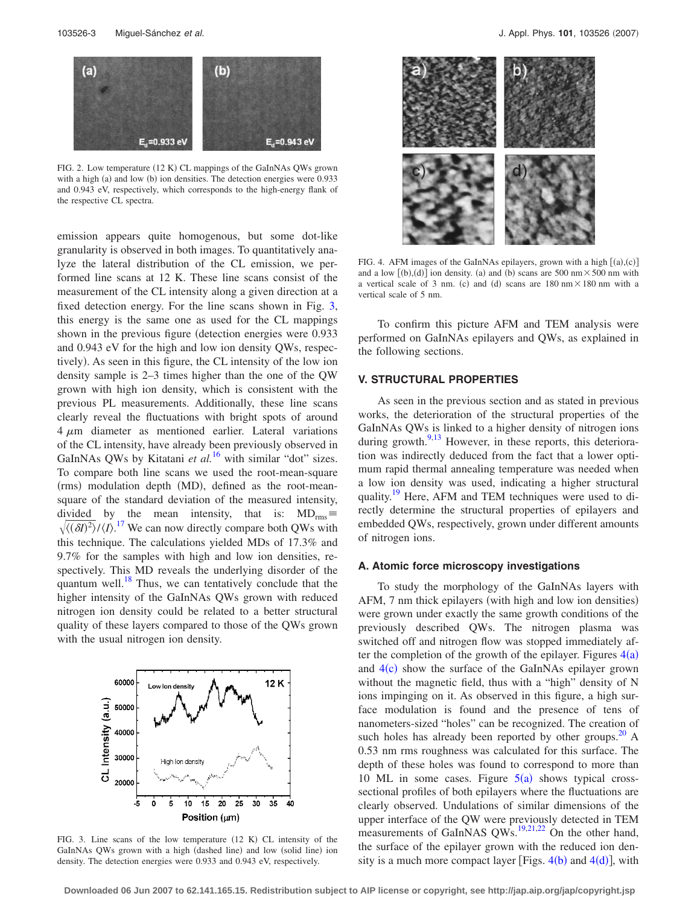<span id="page-2-0"></span>

FIG. 2. Low temperature (12 K) CL mappings of the GaInNAs QWs grown with a high (a) and low (b) ion densities. The detection energies were 0.933 and 0.943 eV, respectively, which corresponds to the high-energy flank of the respective CL spectra.

emission appears quite homogenous, but some dot-like granularity is observed in both images. To quantitatively analyze the lateral distribution of the CL emission, we performed line scans at 12 K. These line scans consist of the measurement of the CL intensity along a given direction at a fixed detection energy. For the line scans shown in Fig. [3,](#page-2-1) this energy is the same one as used for the CL mappings shown in the previous figure (detection energies were 0.933 and 0.943 eV for the high and low ion density QWs, respectively). As seen in this figure, the CL intensity of the low ion density sample is 2–3 times higher than the one of the QW grown with high ion density, which is consistent with the previous PL measurements. Additionally, these line scans clearly reveal the fluctuations with bright spots of around  $4 \mu m$  diameter as mentioned earlier. Lateral variations of the CL intensity, have already been previously observed in GaInNAs QWs by Kitatani *et al.*<sup>[16](#page-5-12)</sup> with similar "dot" sizes. To compare both line scans we used the root-mean-square (rms) modulation depth (MD), defined as the root-meansquare of the standard deviation of the measured intensity, divided by the mean intensity, that is:  $MD_{rms} \equiv$  $\sqrt{\langle(\delta I)^2\rangle/\langle I \rangle}$ <sup>[17](#page-5-13)</sup> We can now directly compare both QWs with this technique. The calculations yielded MDs of 17.3% and 9.7% for the samples with high and low ion densities, respectively. This MD reveals the underlying disorder of the quantum well. $^{18}$  Thus, we can tentatively conclude that the higher intensity of the GaInNAs QWs grown with reduced nitrogen ion density could be related to a better structural quality of these layers compared to those of the QWs grown with the usual nitrogen ion density.

<span id="page-2-1"></span>

FIG. 3. Line scans of the low temperature  $(12 K)$  CL intensity of the GaInNAs QWs grown with a high (dashed line) and low (solid line) ion density. The detection energies were 0.933 and 0.943 eV, respectively.

<span id="page-2-2"></span>

FIG. 4. AFM images of the GaInNAs epilayers, grown with a high  $[(a),(c)]$ and a low  $[(b),(d)]$  ion density. (a) and (b) scans are 500 nm  $\times$  500 nm with a vertical scale of 3 nm. (c) and (d) scans are  $180 \text{ nm} \times 180 \text{ nm}$  with a vertical scale of 5 nm.

To confirm this picture AFM and TEM analysis were performed on GaInNAs epilayers and QWs, as explained in the following sections.

#### **V. STRUCTURAL PROPERTIES**

As seen in the previous section and as stated in previous works, the deterioration of the structural properties of the GaInNAs QWs is linked to a higher density of nitrogen ions during growth. $9,13$  $9,13$  However, in these reports, this deterioration was indirectly deduced from the fact that a lower optimum rapid thermal annealing temperature was needed when a low ion density was used, indicating a higher structural quality.<sup>19</sup> Here, AFM and TEM techniques were used to directly determine the structural properties of epilayers and embedded QWs, respectively, grown under different amounts of nitrogen ions.

#### **A. Atomic force microscopy investigations**

To study the morphology of the GaInNAs layers with AFM, 7 nm thick epilayers (with high and low ion densities) were grown under exactly the same growth conditions of the previously described QWs. The nitrogen plasma was switched off and nitrogen flow was stopped immediately after the completion of the growth of the epilayer. Figures  $4(a)$  $4(a)$ and  $4(c)$  $4(c)$  show the surface of the GaInNAs epilayer grown without the magnetic field, thus with a "high" density of N ions impinging on it. As observed in this figure, a high surface modulation is found and the presence of tens of nanometers-sized "holes" can be recognized. The creation of such holes has already been reported by other groups. $20$  A 0.53 nm rms roughness was calculated for this surface. The depth of these holes was found to correspond to more than 10 ML in some cases. Figure  $5(a)$  $5(a)$  shows typical crosssectional profiles of both epilayers where the fluctuations are clearly observed. Undulations of similar dimensions of the upper interface of the QW were previously detected in TEM measurements of GaInNAS QWs.<sup>19,[21,](#page-5-17)[22](#page-5-18)</sup> On the other hand, the surface of the epilayer grown with the reduced ion density is a much more compact layer [Figs.  $4(b)$  $4(b)$  and  $4(d)$ ], with

**Downloaded 06 Jun 2007 to 62.141.165.15. Redistribution subject to AIP license or copyright, see http://jap.aip.org/jap/copyright.jsp**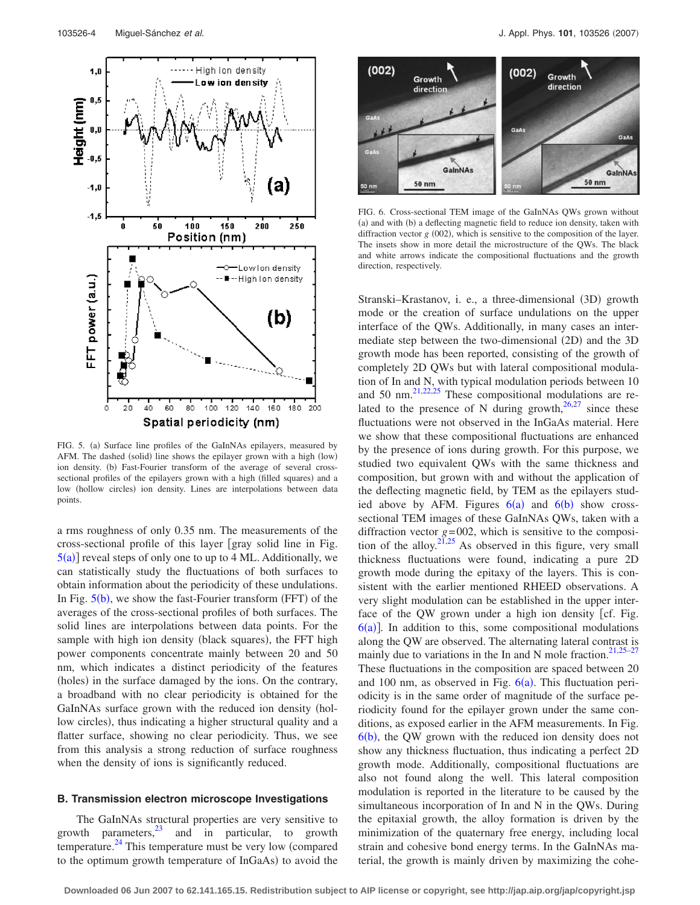<span id="page-3-0"></span>

FIG. 5. (a) Surface line profiles of the GaInNAs epilayers, measured by AFM. The dashed (solid) line shows the epilayer grown with a high (low) ion density. (b) Fast-Fourier transform of the average of several crosssectional profiles of the epilayers grown with a high (filled squares) and a low (hollow circles) ion density. Lines are interpolations between data points.

a rms roughness of only 0.35 nm. The measurements of the cross-sectional profile of this layer gray solid line in Fig.  $5(a)$  $5(a)$ ] reveal steps of only one to up to 4 ML. Additionally, we can statistically study the fluctuations of both surfaces to obtain information about the periodicity of these undulations. In Fig.  $5(b)$  $5(b)$ , we show the fast-Fourier transform (FFT) of the averages of the cross-sectional profiles of both surfaces. The solid lines are interpolations between data points. For the sample with high ion density (black squares), the FFT high power components concentrate mainly between 20 and 50 nm, which indicates a distinct periodicity of the features (holes) in the surface damaged by the ions. On the contrary, a broadband with no clear periodicity is obtained for the GaInNAs surface grown with the reduced ion density (hollow circles), thus indicating a higher structural quality and a flatter surface, showing no clear periodicity. Thus, we see from this analysis a strong reduction of surface roughness when the density of ions is significantly reduced.

#### **B. Transmission electron microscope Investigations**

The GaInNAs structural properties are very sensitive to growth parameters, $^{23}$  and in particular, to growth temperature. $^{24}$  This temperature must be very low (compared to the optimum growth temperature of InGaAs) to avoid the

<span id="page-3-1"></span>

FIG. 6. Cross-sectional TEM image of the GaInNAs QWs grown without (a) and with (b) a deflecting magnetic field to reduce ion density, taken with diffraction vector  $g(002)$ , which is sensitive to the composition of the layer. The insets show in more detail the microstructure of the QWs. The black and white arrows indicate the compositional fluctuations and the growth direction, respectively.

Stranski-Krastanov, i. e., a three-dimensional (3D) growth mode or the creation of surface undulations on the upper interface of the QWs. Additionally, in many cases an intermediate step between the two-dimensional (2D) and the 3D growth mode has been reported, consisting of the growth of completely 2D QWs but with lateral compositional modulation of In and N, with typical modulation periods between 10 and 50 nm. $^{21,22,25}$  $^{21,22,25}$  $^{21,22,25}$  $^{21,22,25}$  These compositional modulations are related to the presence of N during growth,  $26,27$  $26,27$  since these fluctuations were not observed in the InGaAs material. Here we show that these compositional fluctuations are enhanced by the presence of ions during growth. For this purpose, we studied two equivalent QWs with the same thickness and composition, but grown with and without the application of the deflecting magnetic field, by TEM as the epilayers studied above by AFM. Figures  $6(a)$  $6(a)$  and  $6(b)$  show crosssectional TEM images of these GaInNAs QWs, taken with a diffraction vector  $g=002$ , which is sensitive to the composi-tion of the alloy.<sup>21[,25](#page-5-21)</sup> As observed in this figure, very small thickness fluctuations were found, indicating a pure 2D growth mode during the epitaxy of the layers. This is consistent with the earlier mentioned RHEED observations. A very slight modulation can be established in the upper interface of the QW grown under a high ion density [cf. Fig.  $6(a)$  $6(a)$ ]. In addition to this, some compositional modulations along the QW are observed. The alternating lateral contrast is mainly due to variations in the In and N mole fraction.<sup>21[,25](#page-5-21)[–27](#page-5-23)</sup> These fluctuations in the composition are spaced between 20 and 100 nm, as observed in Fig.  $6(a)$  $6(a)$ . This fluctuation periodicity is in the same order of magnitude of the surface periodicity found for the epilayer grown under the same conditions, as exposed earlier in the AFM measurements. In Fig.  $6(b)$  $6(b)$ , the QW grown with the reduced ion density does not show any thickness fluctuation, thus indicating a perfect 2D growth mode. Additionally, compositional fluctuations are also not found along the well. This lateral composition modulation is reported in the literature to be caused by the simultaneous incorporation of In and N in the QWs. During the epitaxial growth, the alloy formation is driven by the minimization of the quaternary free energy, including local strain and cohesive bond energy terms. In the GaInNAs material, the growth is mainly driven by maximizing the cohe-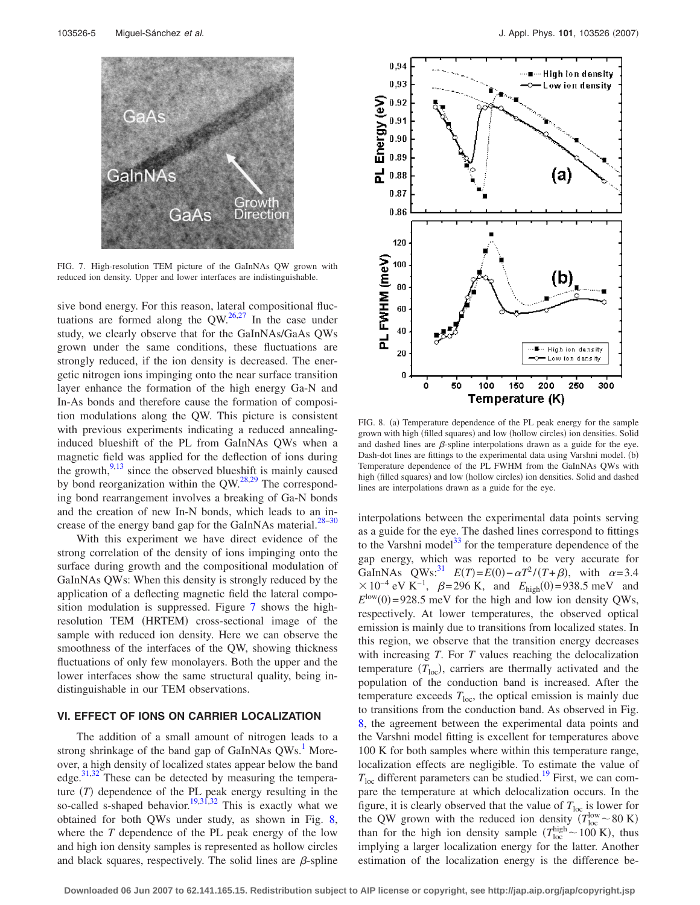<span id="page-4-0"></span>

FIG. 7. High-resolution TEM picture of the GaInNAs QW grown with reduced ion density. Upper and lower interfaces are indistinguishable.

sive bond energy. For this reason, lateral compositional fluctuations are formed along the  $QW$ .<sup>26[,27](#page-5-23)</sup> In the case under study, we clearly observe that for the GaInNAs/GaAs QWs grown under the same conditions, these fluctuations are strongly reduced, if the ion density is decreased. The energetic nitrogen ions impinging onto the near surface transition layer enhance the formation of the high energy Ga-N and In-As bonds and therefore cause the formation of composition modulations along the QW. This picture is consistent with previous experiments indicating a reduced annealinginduced blueshift of the PL from GaInNAs QWs when a magnetic field was applied for the deflection of ions during the growth, $9,13$  $9,13$  since the observed blueshift is mainly caused by bond reorganization within the  $QW<sup>28,29</sup>$  $QW<sup>28,29</sup>$  $QW<sup>28,29</sup>$  The corresponding bond rearrangement involves a breaking of Ga-N bonds and the creation of new In-N bonds, which leads to an in-crease of the energy band gap for the GaInNAs material.<sup>28-[30](#page-5-26)</sup>

With this experiment we have direct evidence of the strong correlation of the density of ions impinging onto the surface during growth and the compositional modulation of GaInNAs QWs: When this density is strongly reduced by the application of a deflecting magnetic field the lateral composition modulation is suppressed. Figure [7](#page-4-0) shows the highresolution TEM (HRTEM) cross-sectional image of the sample with reduced ion density. Here we can observe the smoothness of the interfaces of the QW, showing thickness fluctuations of only few monolayers. Both the upper and the lower interfaces show the same structural quality, being indistinguishable in our TEM observations.

# **VI. EFFECT OF IONS ON CARRIER LOCALIZATION**

The addition of a small amount of nitrogen leads to a strong shrinkage of the band gap of GaInNAs QWs.<sup>1</sup> Moreover, a high density of localized states appear below the band edge. $31,32$  $31,32$ <sup> $\text{These can be detected by measuring the tempera-}$ </sup> ture  $(T)$  dependence of the PL peak energy resulting in the so-called s-shaped behavior.<sup>19[,31,](#page-5-27)[32](#page-5-28)</sup> This is exactly what we obtained for both QWs under study, as shown in Fig. [8,](#page-4-1) where the *T* dependence of the PL peak energy of the low and high ion density samples is represented as hollow circles and black squares, respectively. The solid lines are  $\beta$ -spline

<span id="page-4-1"></span>

FIG. 8. (a) Temperature dependence of the PL peak energy for the sample grown with high (filled squares) and low (hollow circles) ion densities. Solid and dashed lines are  $\beta$ -spline interpolations drawn as a guide for the eye. Dash-dot lines are fittings to the experimental data using Varshni model. (b) Temperature dependence of the PL FWHM from the GaInNAs QWs with high (filled squares) and low (hollow circles) ion densities. Solid and dashed lines are interpolations drawn as a guide for the eye.

interpolations between the experimental data points serving as a guide for the eye. The dashed lines correspond to fittings to the Varshni model $^{33}$  for the temperature dependence of the gap energy, which was reported to be very accurate for GaInNAs QWs:<sup>31</sup>  $E(T) = E(0) - \alpha T^2 / (T + \beta)$ , with  $\alpha = 3.4$  $\times 10^{-4}$  eV K<sup>-1</sup>,  $\beta$ =296 K, and  $E_{\text{high}}(0)$ =938.5 meV and  $E^{\text{low}}(0) = 928.5$  meV for the high and low ion density QWs, respectively. At lower temperatures, the observed optical emission is mainly due to transitions from localized states. In this region, we observe that the transition energy decreases with increasing *T*. For *T* values reaching the delocalization temperature  $(T_{\text{loc}})$ , carriers are thermally activated and the population of the conduction band is increased. After the temperature exceeds  $T<sub>loc</sub>$ , the optical emission is mainly due to transitions from the conduction band. As observed in Fig. [8,](#page-4-1) the agreement between the experimental data points and the Varshni model fitting is excellent for temperatures above 100 K for both samples where within this temperature range, localization effects are negligible. To estimate the value of  $T_{\text{loc}}$  different parameters can be studied.<sup>19</sup> First, we can compare the temperature at which delocalization occurs. In the figure, it is clearly observed that the value of  $T_{\text{loc}}$  is lower for the QW grown with the reduced ion density  $(T_{\text{loc}}^{\text{low}} \sim 80 \text{ K})$ than for the high ion density sample  $(T_{\text{loc}}^{\text{high}} \sim 100 \text{ K})$ , thus implying a larger localization energy for the latter. Another estimation of the localization energy is the difference be-